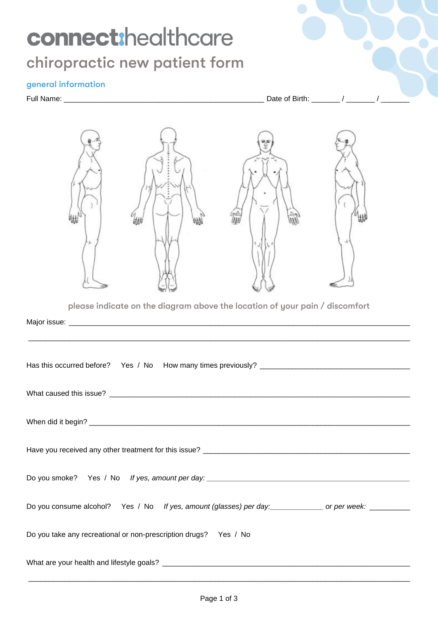# connect:healthcare chiropractic new patient form

### general information

Full Name: \_\_\_\_\_\_\_\_\_\_\_\_\_\_\_\_\_\_\_\_\_\_\_\_\_\_\_\_\_\_\_\_\_\_\_\_\_\_\_\_\_\_\_\_\_\_\_\_\_ Date of Birth: \_\_\_\_\_\_\_ / \_\_\_\_\_\_\_ / \_\_\_\_\_\_\_



 $\_$  ,  $\_$  ,  $\_$  ,  $\_$  ,  $\_$  ,  $\_$  ,  $\_$  ,  $\_$  ,  $\_$  ,  $\_$  ,  $\_$  ,  $\_$  ,  $\_$  ,  $\_$  ,  $\_$  ,  $\_$  ,  $\_$  ,  $\_$  ,  $\_$  ,  $\_$  ,  $\_$  ,  $\_$  ,  $\_$  ,  $\_$  ,  $\_$  ,  $\_$  ,  $\_$  ,  $\_$  ,  $\_$  ,  $\_$  ,  $\_$  ,  $\_$  ,  $\_$  ,  $\_$  ,  $\_$  ,  $\_$  ,  $\_$  ,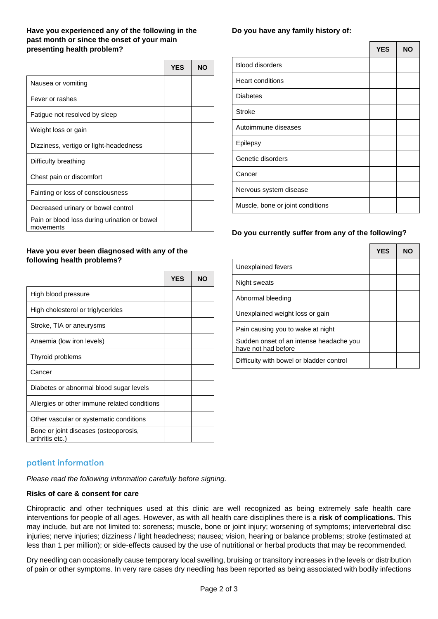#### **Have you experienced any of the following in the past month or since the onset of your main presenting health problem?**

|                                                           | <b>YES</b> | <b>NO</b> |
|-----------------------------------------------------------|------------|-----------|
| Nausea or vomiting                                        |            |           |
| Fever or rashes                                           |            |           |
| Fatigue not resolved by sleep                             |            |           |
| Weight loss or gain                                       |            |           |
| Dizziness, vertigo or light-headedness                    |            |           |
| Difficulty breathing                                      |            |           |
| Chest pain or discomfort                                  |            |           |
| Fainting or loss of consciousness                         |            |           |
| Decreased urinary or bowel control                        |            |           |
| Pain or blood loss during urination or bowel<br>movements |            |           |

#### **Have you ever been diagnosed with any of the following health problems?**

|                                                          | <b>YES</b> | <b>NO</b> |
|----------------------------------------------------------|------------|-----------|
| High blood pressure                                      |            |           |
| High cholesterol or triglycerides                        |            |           |
| Stroke, TIA or aneurysms                                 |            |           |
| Anaemia (low iron levels)                                |            |           |
| Thyroid problems                                         |            |           |
| Cancer                                                   |            |           |
| Diabetes or abnormal blood sugar levels                  |            |           |
| Allergies or other immune related conditions             |            |           |
| Other vascular or systematic conditions                  |            |           |
| Bone or joint diseases (osteoporosis,<br>arthritis etc.) |            |           |

#### **Do you have any family history of:**

|                                  | <b>YES</b> | <b>NO</b> |
|----------------------------------|------------|-----------|
| <b>Blood disorders</b>           |            |           |
| <b>Heart conditions</b>          |            |           |
| <b>Diabetes</b>                  |            |           |
| <b>Stroke</b>                    |            |           |
| Autoimmune diseases              |            |           |
| Epilepsy                         |            |           |
| Genetic disorders                |            |           |
| Cancer                           |            |           |
| Nervous system disease           |            |           |
| Muscle, bone or joint conditions |            |           |

#### **Do you currently suffer from any of the following?**

|                                                                | <b>YES</b> | NO |
|----------------------------------------------------------------|------------|----|
| Unexplained fevers                                             |            |    |
| Night sweats                                                   |            |    |
| Abnormal bleeding                                              |            |    |
| Unexplained weight loss or gain                                |            |    |
| Pain causing you to wake at night                              |            |    |
| Sudden onset of an intense headache you<br>have not had before |            |    |
| Difficulty with bowel or bladder control                       |            |    |

## patient information

*Please read the following information carefully before signing.*

#### **Risks of care & consent for care**

Chiropractic and other techniques used at this clinic are well recognized as being extremely safe health care interventions for people of all ages. However, as with all health care disciplines there is a **risk of complications.** This may include, but are not limited to: soreness; muscle, bone or joint injury; worsening of symptoms; intervertebral disc injuries; nerve injuries; dizziness / light headedness; nausea; vision, hearing or balance problems; stroke (estimated at less than 1 per million); or side-effects caused by the use of nutritional or herbal products that may be recommended.

Dry needling can occasionally cause temporary local swelling, bruising or transitory increases in the levels or distribution of pain or other symptoms. In very rare cases dry needling has been reported as being associated with bodily infections